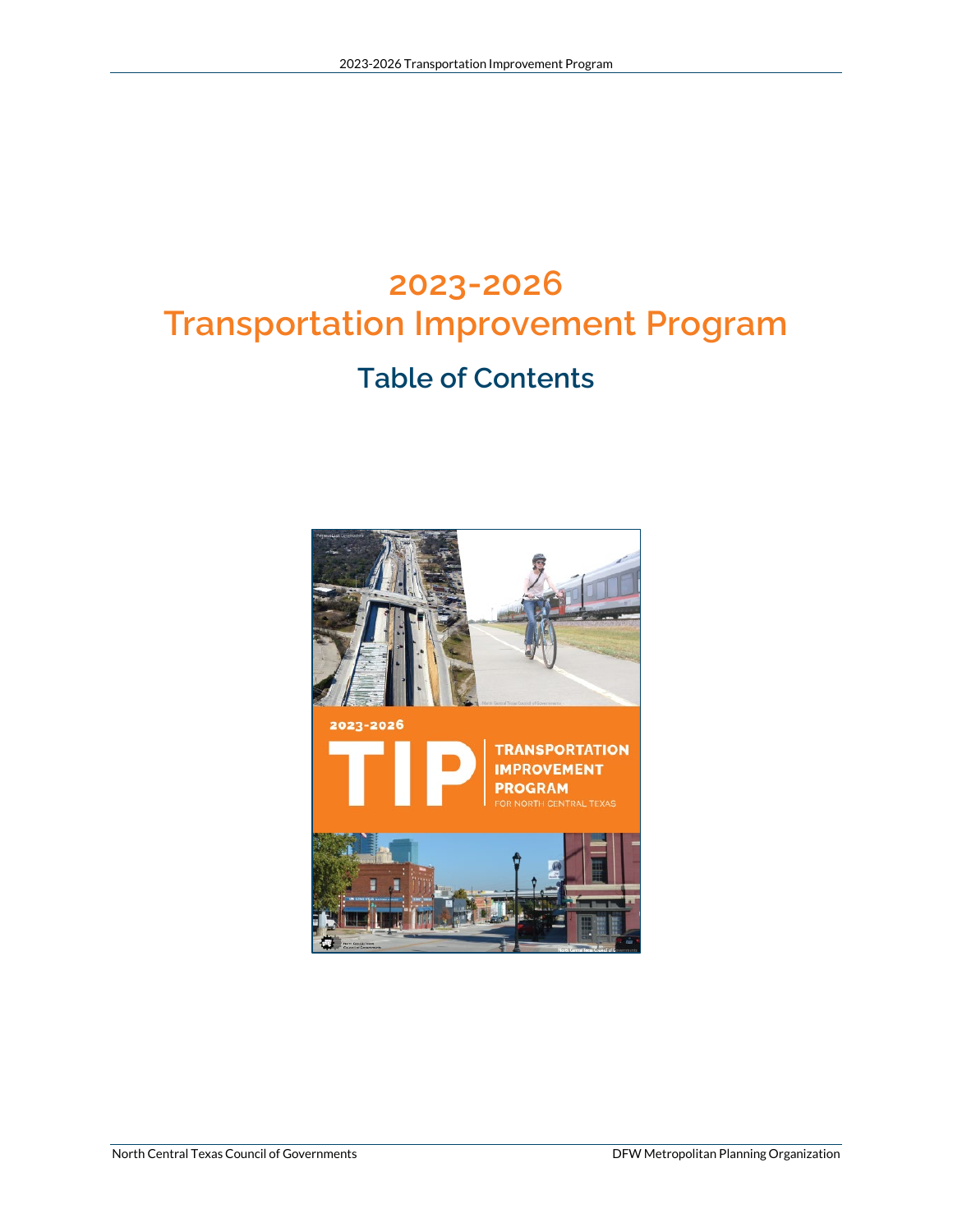# **2023-2026 Transportation Improvement Program**

### **Table of Contents**

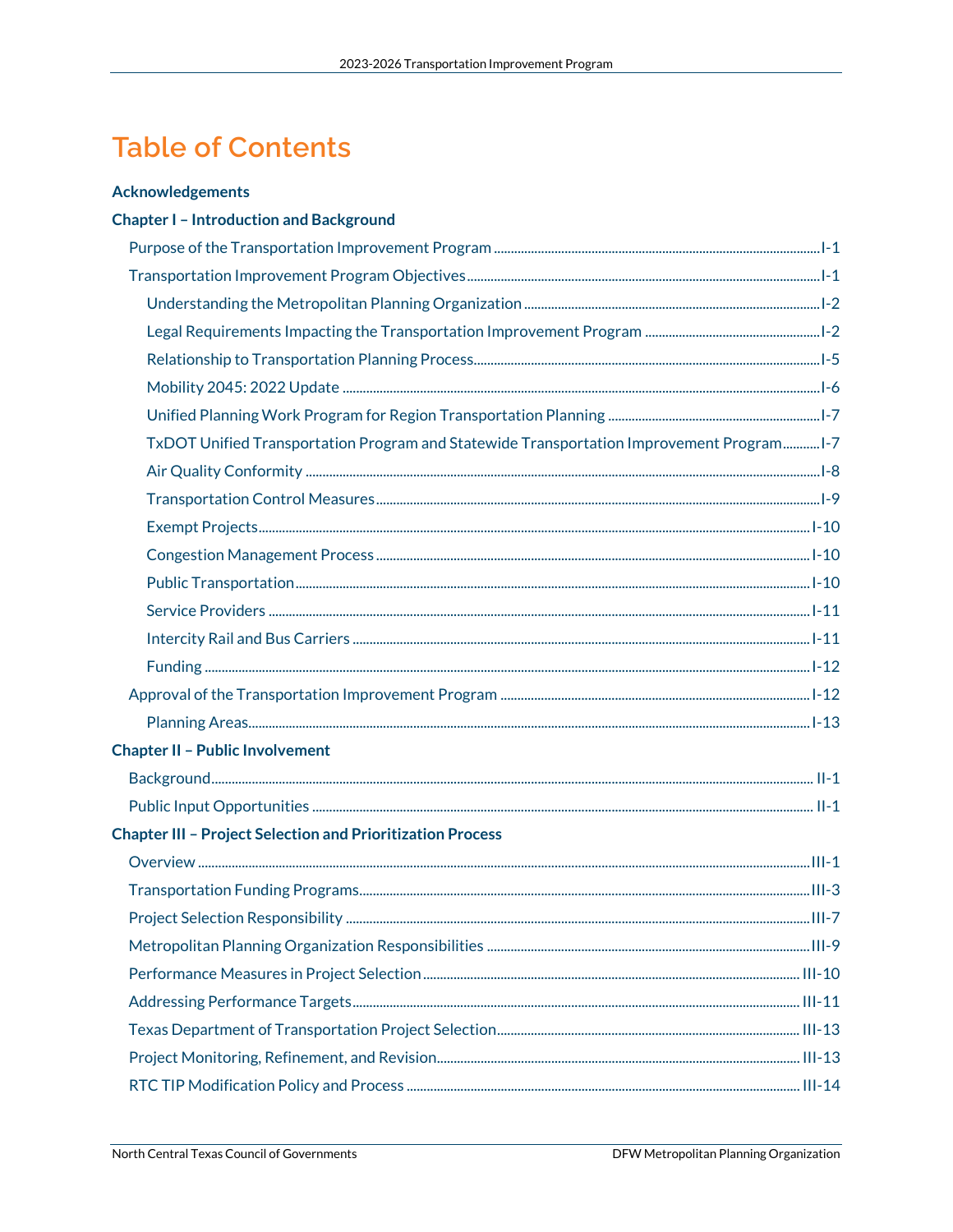## **Table of Contents**

#### **Acknowledgements**

#### **Chapter I - Introduction and Background**

| TxDOT Unified Transportation Program and Statewide Transportation Improvement Program 1-7 |  |
|-------------------------------------------------------------------------------------------|--|
|                                                                                           |  |
|                                                                                           |  |
|                                                                                           |  |
|                                                                                           |  |
|                                                                                           |  |
|                                                                                           |  |
|                                                                                           |  |
|                                                                                           |  |
|                                                                                           |  |
|                                                                                           |  |
| <b>Chapter II - Public Involvement</b>                                                    |  |
|                                                                                           |  |
|                                                                                           |  |
| <b>Chapter III - Project Selection and Prioritization Process</b>                         |  |
|                                                                                           |  |
|                                                                                           |  |
|                                                                                           |  |
|                                                                                           |  |
|                                                                                           |  |
|                                                                                           |  |
|                                                                                           |  |
|                                                                                           |  |
|                                                                                           |  |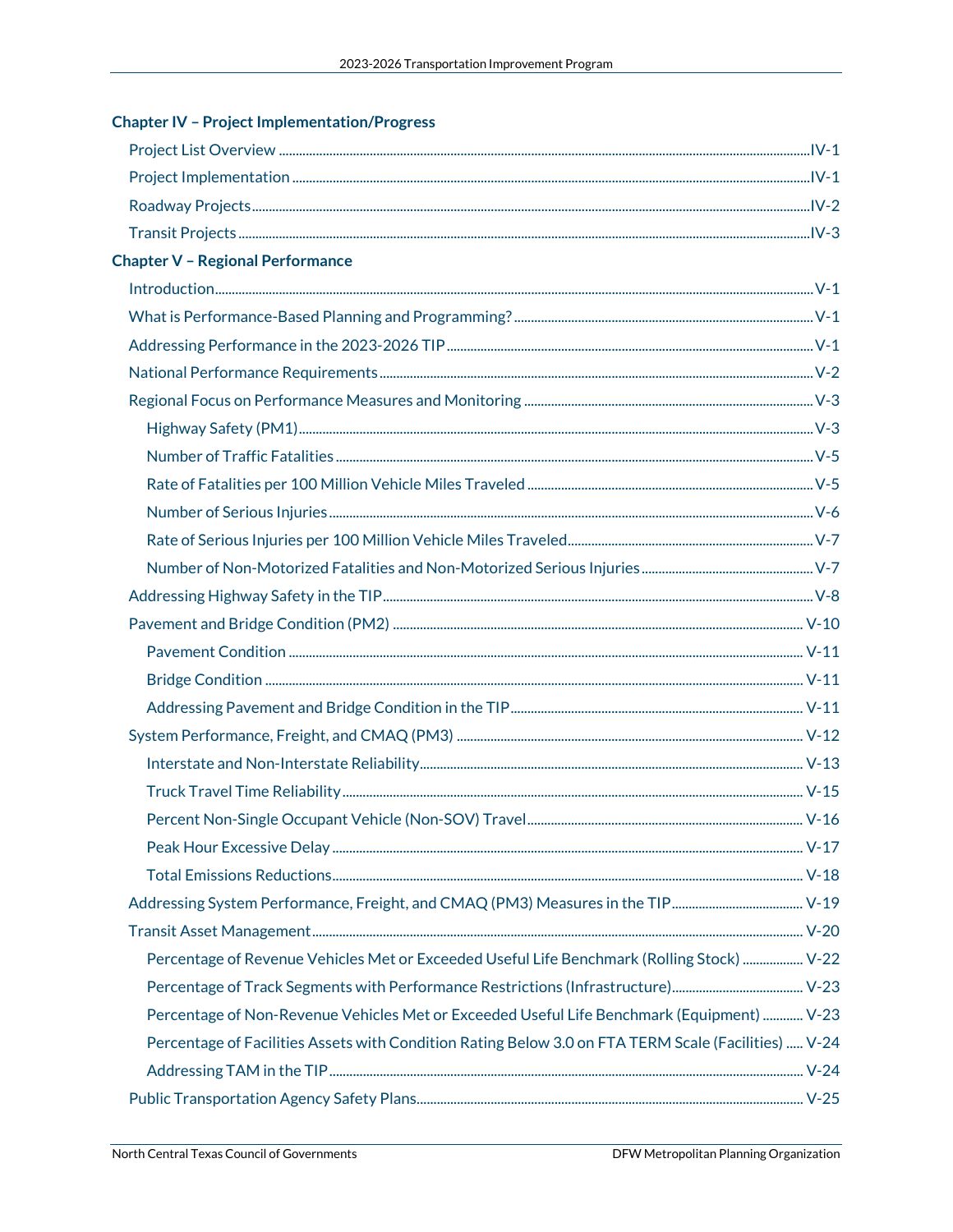| <b>Chapter IV - Project Implementation/Progress</b>                                                  |  |
|------------------------------------------------------------------------------------------------------|--|
|                                                                                                      |  |
|                                                                                                      |  |
|                                                                                                      |  |
|                                                                                                      |  |
| <b>Chapter V - Regional Performance</b>                                                              |  |
|                                                                                                      |  |
|                                                                                                      |  |
|                                                                                                      |  |
|                                                                                                      |  |
|                                                                                                      |  |
|                                                                                                      |  |
|                                                                                                      |  |
|                                                                                                      |  |
|                                                                                                      |  |
|                                                                                                      |  |
|                                                                                                      |  |
|                                                                                                      |  |
|                                                                                                      |  |
|                                                                                                      |  |
|                                                                                                      |  |
|                                                                                                      |  |
|                                                                                                      |  |
|                                                                                                      |  |
|                                                                                                      |  |
|                                                                                                      |  |
|                                                                                                      |  |
|                                                                                                      |  |
|                                                                                                      |  |
|                                                                                                      |  |
| Percentage of Revenue Vehicles Met or Exceeded Useful Life Benchmark (Rolling Stock)  V-22           |  |
|                                                                                                      |  |
| Percentage of Non-Revenue Vehicles Met or Exceeded Useful Life Benchmark (Equipment)  V-23           |  |
| Percentage of Facilities Assets with Condition Rating Below 3.0 on FTA TERM Scale (Facilities)  V-24 |  |
|                                                                                                      |  |
|                                                                                                      |  |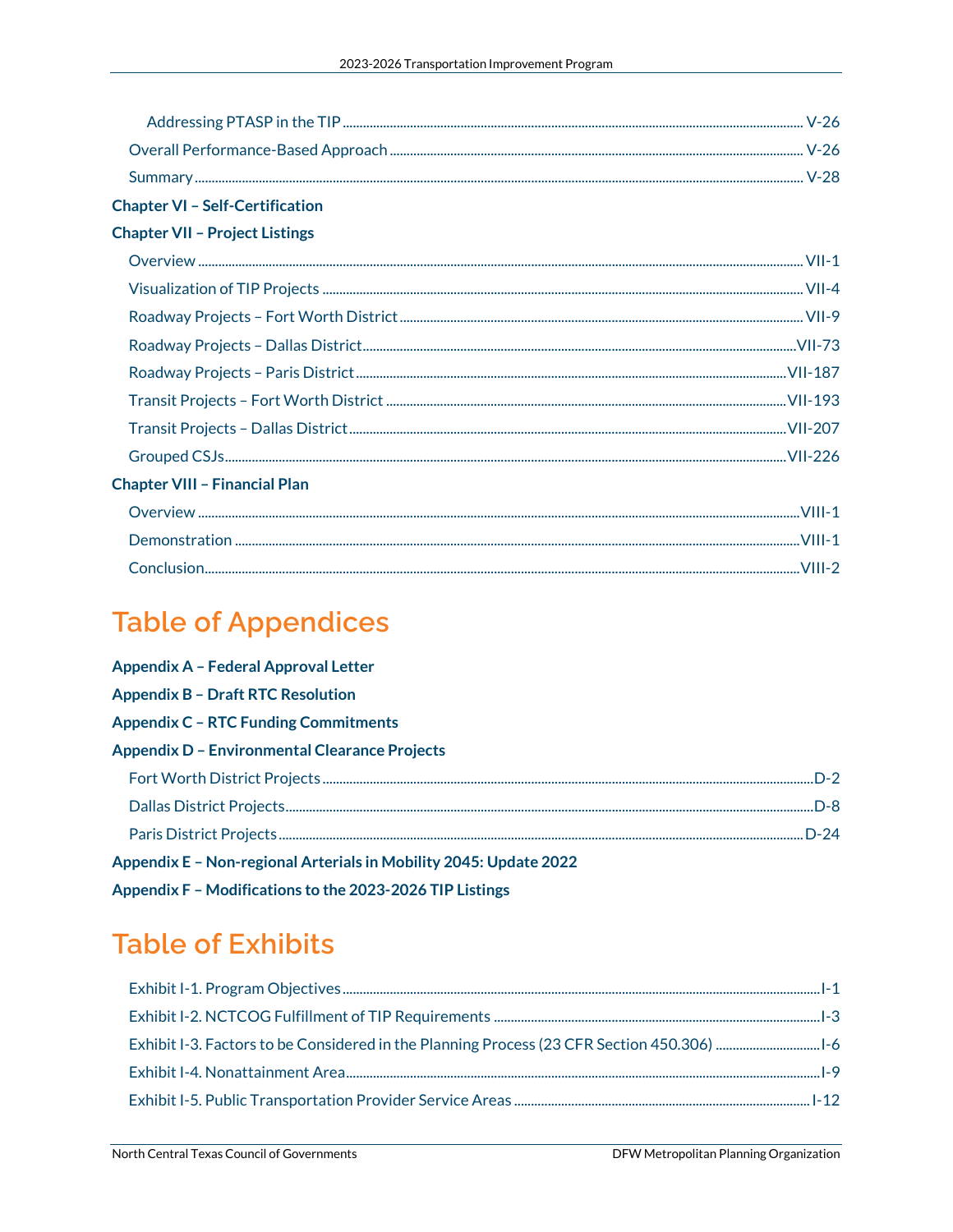| <b>Chapter VI - Self-Certification</b> |  |
|----------------------------------------|--|
| <b>Chapter VII - Project Listings</b>  |  |
|                                        |  |
|                                        |  |
|                                        |  |
|                                        |  |
|                                        |  |
|                                        |  |
|                                        |  |
|                                        |  |
| <b>Chapter VIII - Financial Plan</b>   |  |
|                                        |  |
|                                        |  |
|                                        |  |

## **Table of Appendices**

| <b>Appendix A - Federal Approval Letter</b>                       |  |
|-------------------------------------------------------------------|--|
| <b>Appendix B - Draft RTC Resolution</b>                          |  |
| <b>Appendix C - RTC Funding Commitments</b>                       |  |
| <b>Appendix D - Environmental Clearance Projects</b>              |  |
|                                                                   |  |
|                                                                   |  |
|                                                                   |  |
| Appendix E - Non-regional Arterials in Mobility 2045: Update 2022 |  |
| Appendix F - Modifications to the 2023-2026 TIP Listings          |  |

### **Table of Exhibits**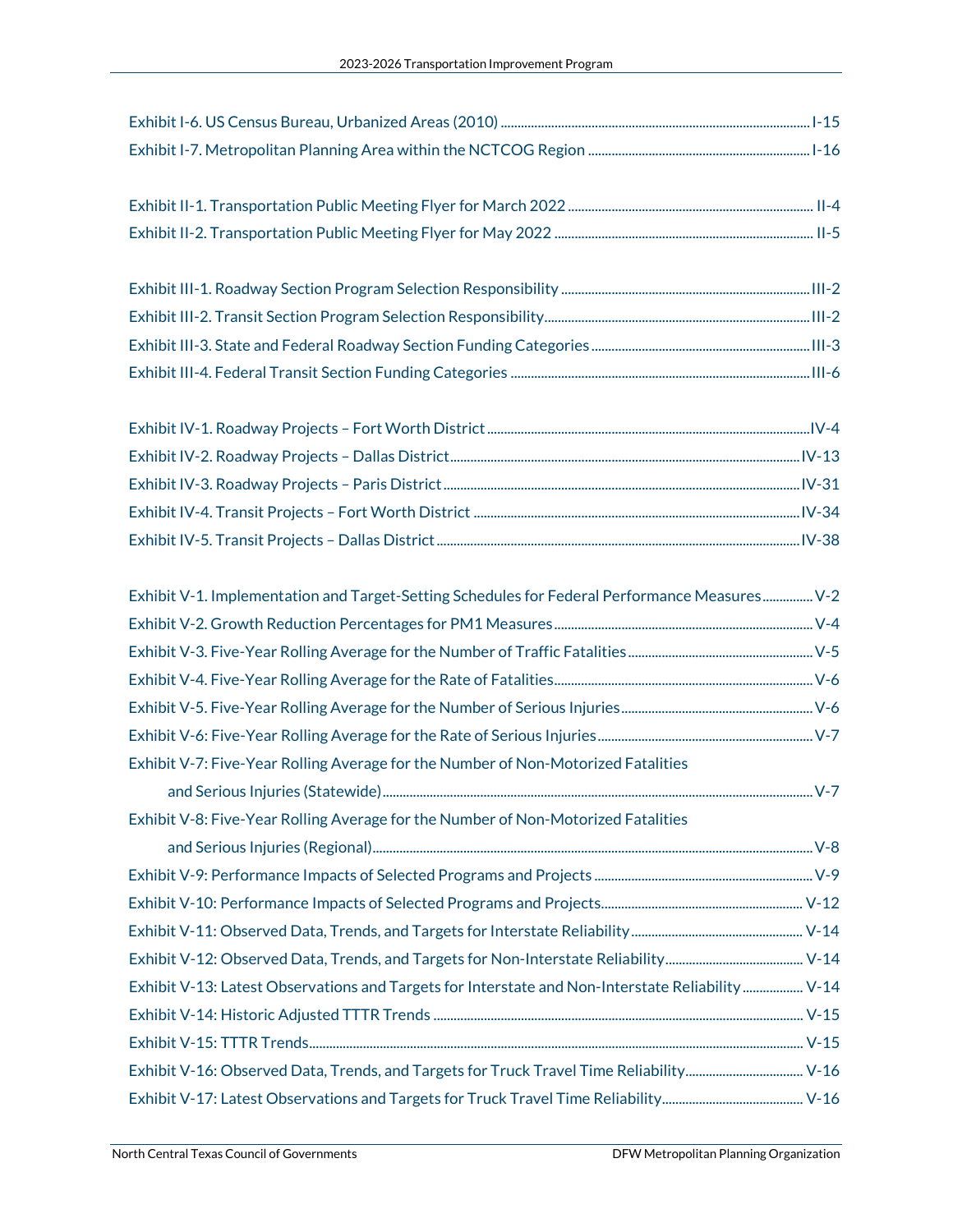Exhibit II-1. Transportation Public Meeting Flyer for March 2022......................................................................... II-4 Exhibit II-2. Transportation Public Meeting Flyer for May 2022 ............................................................................. II-5

| Exhibit V-1. Implementation and Target-Setting Schedules for Federal Performance Measures V-2    |  |
|--------------------------------------------------------------------------------------------------|--|
|                                                                                                  |  |
|                                                                                                  |  |
|                                                                                                  |  |
|                                                                                                  |  |
|                                                                                                  |  |
| Exhibit V-7: Five-Year Rolling Average for the Number of Non-Motorized Fatalities                |  |
|                                                                                                  |  |
| Exhibit V-8: Five-Year Rolling Average for the Number of Non-Motorized Fatalities                |  |
|                                                                                                  |  |
|                                                                                                  |  |
|                                                                                                  |  |
|                                                                                                  |  |
|                                                                                                  |  |
| Exhibit V-13: Latest Observations and Targets for Interstate and Non-Interstate Reliability V-14 |  |
|                                                                                                  |  |
|                                                                                                  |  |
| Exhibit V-16: Observed Data, Trends, and Targets for Truck Travel Time Reliability V-16          |  |
|                                                                                                  |  |